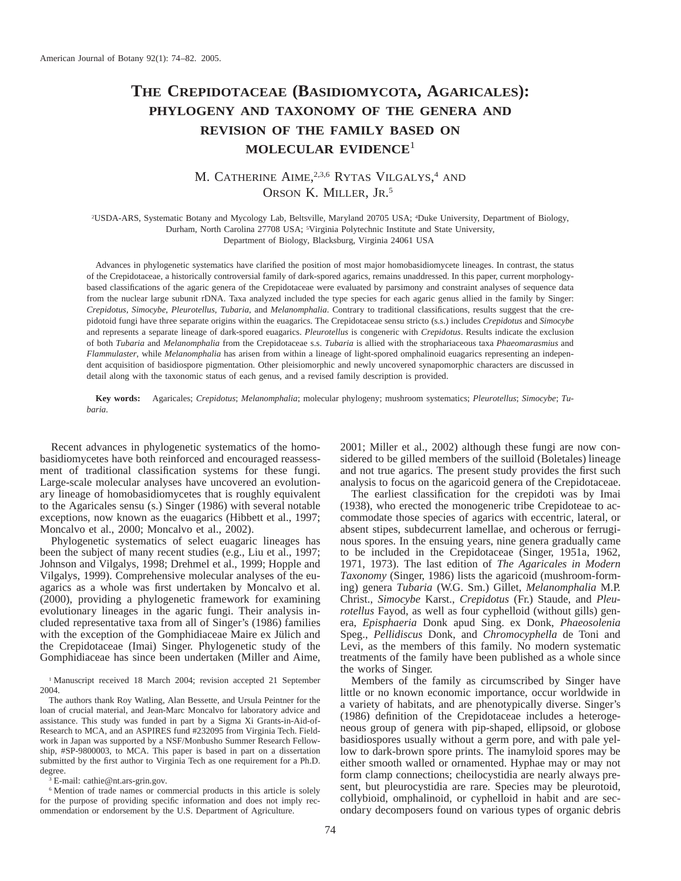# **THE CREPIDOTACEAE (BASIDIOMYCOTA, AGARICALES): PHYLOGENY AND TAXONOMY OF THE GENERA AND REVISION OF THE FAMILY BASED ON MOLECULAR EVIDENCE**<sup>1</sup>

## M. CATHERINE AIME,<sup>2,3,6</sup> RYTAS VILGALYS,<sup>4</sup> AND ORSON K. MILLER, JR. 5

2 USDA-ARS, Systematic Botany and Mycology Lab, Beltsville, Maryland 20705 USA; <sup>4</sup> Duke University, Department of Biology, Durham, North Carolina 27708 USA; <sup>5</sup>Virginia Polytechnic Institute and State University, Department of Biology, Blacksburg, Virginia 24061 USA

Advances in phylogenetic systematics have clarified the position of most major homobasidiomycete lineages. In contrast, the status of the Crepidotaceae, a historically controversial family of dark-spored agarics, remains unaddressed. In this paper, current morphologybased classifications of the agaric genera of the Crepidotaceae were evaluated by parsimony and constraint analyses of sequence data from the nuclear large subunit rDNA. Taxa analyzed included the type species for each agaric genus allied in the family by Singer: *Crepidotus*, *Simocybe*, *Pleurotellus*, *Tubaria*, and *Melanomphalia*. Contrary to traditional classifications, results suggest that the crepidotoid fungi have three separate origins within the euagarics. The Crepidotaceae sensu stricto (s.s.) includes *Crepidotus* and *Simocybe* and represents a separate lineage of dark-spored euagarics. *Pleurotellus* is congeneric with *Crepidotus*. Results indicate the exclusion of both *Tubaria* and *Melanomphalia* from the Crepidotaceae s.s. *Tubaria* is allied with the strophariaceous taxa *Phaeomarasmius* and *Flammulaster*, while *Melanomphalia* has arisen from within a lineage of light-spored omphalinoid euagarics representing an independent acquisition of basidiospore pigmentation. Other pleisiomorphic and newly uncovered synapomorphic characters are discussed in detail along with the taxonomic status of each genus, and a revised family description is provided.

**Key words:** Agaricales; *Crepidotus*; *Melanomphalia*; molecular phylogeny; mushroom systematics; *Pleurotellus*; *Simocybe*; *Tubaria*.

Recent advances in phylogenetic systematics of the homobasidiomycetes have both reinforced and encouraged reassessment of traditional classification systems for these fungi. Large-scale molecular analyses have uncovered an evolutionary lineage of homobasidiomycetes that is roughly equivalent to the Agaricales sensu (s.) Singer (1986) with several notable exceptions, now known as the euagarics (Hibbett et al., 1997; Moncalvo et al., 2000; Moncalvo et al., 2002).

Phylogenetic systematics of select euagaric lineages has been the subject of many recent studies (e.g., Liu et al., 1997; Johnson and Vilgalys, 1998; Drehmel et al., 1999; Hopple and Vilgalys, 1999). Comprehensive molecular analyses of the euagarics as a whole was first undertaken by Moncalvo et al. (2000), providing a phylogenetic framework for examining evolutionary lineages in the agaric fungi. Their analysis included representative taxa from all of Singer's (1986) families with the exception of the Gomphidiaceae Maire ex Jülich and the Crepidotaceae (Imai) Singer. Phylogenetic study of the Gomphidiaceae has since been undertaken (Miller and Aime,

<sup>1</sup> Manuscript received 18 March 2004; revision accepted 21 September 2004.

The authors thank Roy Watling, Alan Bessette, and Ursula Peintner for the loan of crucial material, and Jean-Marc Moncalvo for laboratory advice and assistance. This study was funded in part by a Sigma Xi Grants-in-Aid-of-Research to MCA, and an ASPIRES fund #232095 from Virginia Tech. Fieldwork in Japan was supported by a NSF/Monbusho Summer Research Fellowship, #SP-9800003, to MCA. This paper is based in part on a dissertation submitted by the first author to Virginia Tech as one requirement for a Ph.D. degree.

<sup>3</sup> E-mail: cathie@nt.ars-grin.gov.

<sup>6</sup> Mention of trade names or commercial products in this article is solely for the purpose of providing specific information and does not imply recommendation or endorsement by the U.S. Department of Agriculture.

2001; Miller et al., 2002) although these fungi are now considered to be gilled members of the suilloid (Boletales) lineage and not true agarics. The present study provides the first such analysis to focus on the agaricoid genera of the Crepidotaceae.

The earliest classification for the crepidoti was by Imai (1938), who erected the monogeneric tribe Crepidoteae to accommodate those species of agarics with eccentric, lateral, or absent stipes, subdecurrent lamellae, and ocherous or ferruginous spores. In the ensuing years, nine genera gradually came to be included in the Crepidotaceae (Singer, 1951a, 1962, 1971, 1973). The last edition of *The Agaricales in Modern Taxonomy* (Singer, 1986) lists the agaricoid (mushroom-forming) genera *Tubaria* (W.G. Sm.) Gillet, *Melanomphalia* M.P. Christ., *Simocybe* Karst., *Crepidotus* (Fr.) Staude, and *Pleurotellus* Fayod, as well as four cyphelloid (without gills) genera, *Episphaeria* Donk apud Sing. ex Donk, *Phaeosolenia* Speg., *Pellidiscus* Donk, and *Chromocyphella* de Toni and Levi, as the members of this family. No modern systematic treatments of the family have been published as a whole since the works of Singer.

Members of the family as circumscribed by Singer have little or no known economic importance, occur worldwide in a variety of habitats, and are phenotypically diverse. Singer's (1986) definition of the Crepidotaceae includes a heterogeneous group of genera with pip-shaped, ellipsoid, or globose basidiospores usually without a germ pore, and with pale yellow to dark-brown spore prints. The inamyloid spores may be either smooth walled or ornamented. Hyphae may or may not form clamp connections; cheilocystidia are nearly always present, but pleurocystidia are rare. Species may be pleurotoid, collybioid, omphalinoid, or cyphelloid in habit and are secondary decomposers found on various types of organic debris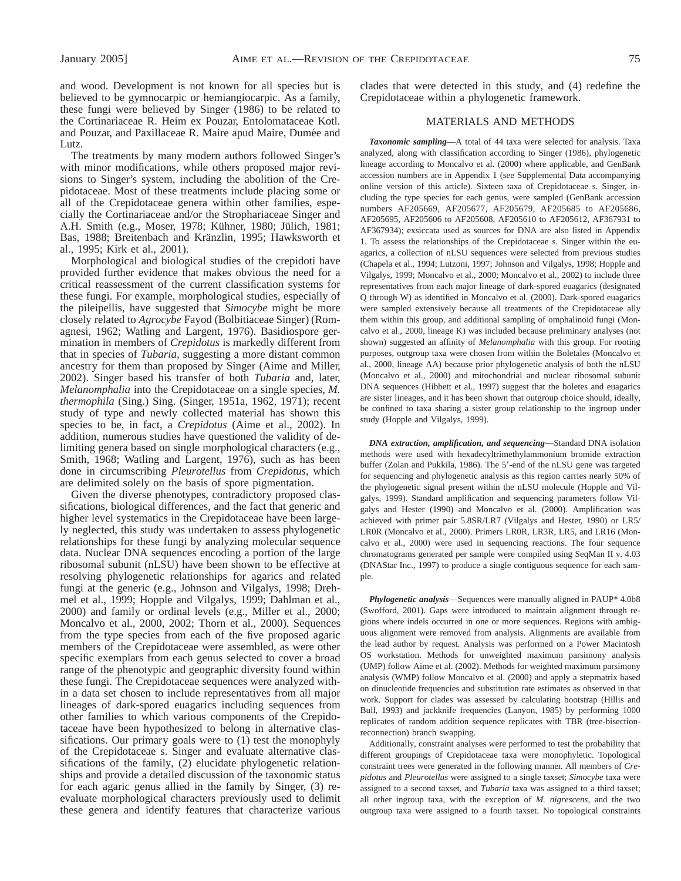and wood. Development is not known for all species but is believed to be gymnocarpic or hemiangiocarpic. As a family, these fungi were believed by Singer (1986) to be related to the Cortinariaceae R. Heim ex Pouzar, Entolomataceae Kotl. and Pouzar, and Paxillaceae R. Maire apud Maire, Dumée and Lutz.

The treatments by many modern authors followed Singer's with minor modifications, while others proposed major revisions to Singer's system, including the abolition of the Crepidotaceae. Most of these treatments include placing some or all of the Crepidotaceae genera within other families, especially the Cortinariaceae and/or the Strophariaceae Singer and A.H. Smith (e.g., Moser, 1978; Kühner, 1980; Jülich, 1981; Bas, 1988; Breitenbach and Kränzlin, 1995; Hawksworth et al., 1995; Kirk et al., 2001).

Morphological and biological studies of the crepidoti have provided further evidence that makes obvious the need for a critical reassessment of the current classification systems for these fungi. For example, morphological studies, especially of the pileipellis, have suggested that *Simocybe* might be more closely related to *Agrocybe* Fayod (Bolbitiaceae Singer) (Romagnesi, 1962; Watling and Largent, 1976). Basidiospore germination in members of *Crepidotus* is markedly different from that in species of *Tubaria*, suggesting a more distant common ancestry for them than proposed by Singer (Aime and Miller, 2002). Singer based his transfer of both *Tubaria* and, later, *Melanomphalia* into the Crepidotaceae on a single species, *M. thermophila* (Sing.) Sing. (Singer, 1951a, 1962, 1971); recent study of type and newly collected material has shown this species to be, in fact, a *Crepidotus* (Aime et al., 2002). In addition, numerous studies have questioned the validity of delimiting genera based on single morphological characters (e.g., Smith, 1968; Watling and Largent, 1976), such as has been done in circumscribing *Pleurotellus* from *Crepidotus*, which are delimited solely on the basis of spore pigmentation.

Given the diverse phenotypes, contradictory proposed classifications, biological differences, and the fact that generic and higher level systematics in the Crepidotaceae have been largely neglected, this study was undertaken to assess phylogenetic relationships for these fungi by analyzing molecular sequence data. Nuclear DNA sequences encoding a portion of the large ribosomal subunit (nLSU) have been shown to be effective at resolving phylogenetic relationships for agarics and related fungi at the generic (e.g., Johnson and Vilgalys, 1998; Drehmel et al., 1999; Hopple and Vilgalys, 1999; Dahlman et al., 2000) and family or ordinal levels (e.g., Miller et al., 2000; Moncalvo et al., 2000, 2002; Thorn et al., 2000). Sequences from the type species from each of the five proposed agaric members of the Crepidotaceae were assembled, as were other specific exemplars from each genus selected to cover a broad range of the phenotypic and geographic diversity found within these fungi. The Crepidotaceae sequences were analyzed within a data set chosen to include representatives from all major lineages of dark-spored euagarics including sequences from other families to which various components of the Crepidotaceae have been hypothesized to belong in alternative classifications. Our primary goals were to  $(1)$  test the monophyly of the Crepidotaceae s. Singer and evaluate alternative classifications of the family, (2) elucidate phylogenetic relationships and provide a detailed discussion of the taxonomic status for each agaric genus allied in the family by Singer, (3) reevaluate morphological characters previously used to delimit these genera and identify features that characterize various

clades that were detected in this study, and (4) redefine the Crepidotaceae within a phylogenetic framework.

#### MATERIALS AND METHODS

*Taxonomic sampling*—A total of 44 taxa were selected for analysis. Taxa analyzed, along with classification according to Singer (1986), phylogenetic lineage according to Moncalvo et al. (2000) where applicable, and GenBank accession numbers are in Appendix 1 (see Supplemental Data accompanying online version of this article). Sixteen taxa of Crepidotaceae s. Singer, including the type species for each genus, were sampled (GenBank accession numbers AF205669, AF205677, AF205679, AF205685 to AF205686, AF205695, AF205606 to AF205608, AF205610 to AF205612, AF367931 to AF367934); exsiccata used as sources for DNA are also listed in Appendix 1. To assess the relationships of the Crepidotaceae s. Singer within the euagarics, a collection of nLSU sequences were selected from previous studies (Chapela et al., 1994; Lutzoni, 1997; Johnson and Vilgalys, 1998; Hopple and Vilgalys, 1999; Moncalvo et al., 2000; Moncalvo et al., 2002) to include three representatives from each major lineage of dark-spored euagarics (designated Q through W) as identified in Moncalvo et al. (2000). Dark-spored euagarics were sampled extensively because all treatments of the Crepidotaceae ally them within this group, and additional sampling of omphalinoid fungi (Moncalvo et al., 2000, lineage K) was included because preliminary analyses (not shown) suggested an affinity of *Melanomphalia* with this group. For rooting purposes, outgroup taxa were chosen from within the Boletales (Moncalvo et al., 2000, lineage AA) because prior phylogenetic analysis of both the nLSU (Moncalvo et al., 2000) and mitochondrial and nuclear ribosomal subunit DNA sequences (Hibbett et al., 1997) suggest that the boletes and euagarics are sister lineages, and it has been shown that outgroup choice should, ideally, be confined to taxa sharing a sister group relationship to the ingroup under study (Hopple and Vilgalys, 1999).

*DNA extraction, amplification, and sequencing*—Standard DNA isolation methods were used with hexadecyltrimethylammonium bromide extraction buffer (Zolan and Pukkila, 1986). The 5'-end of the nLSU gene was targeted for sequencing and phylogenetic analysis as this region carries nearly 50% of the phylogenetic signal present within the nLSU molecule (Hopple and Vilgalys, 1999). Standard amplification and sequencing parameters follow Vilgalys and Hester (1990) and Moncalvo et al. (2000). Amplification was achieved with primer pair 5.8SR/LR7 (Vilgalys and Hester, 1990) or LR5/ LR0R (Moncalvo et al., 2000). Primers LR0R, LR3R, LR5, and LR16 (Moncalvo et al., 2000) were used in sequencing reactions. The four sequence chromatograms generated per sample were compiled using SeqMan II v. 4.03 (DNAStar Inc., 1997) to produce a single contiguous sequence for each sample.

*Phylogenetic analysis*—Sequences were manually aligned in PAUP\* 4.0b8 (Swofford, 2001). Gaps were introduced to maintain alignment through regions where indels occurred in one or more sequences. Regions with ambiguous alignment were removed from analysis. Alignments are available from the lead author by request. Analysis was performed on a Power Macintosh OS workstation. Methods for unweighted maximum parsimony analysis (UMP) follow Aime et al. (2002). Methods for weighted maximum parsimony analysis (WMP) follow Moncalvo et al. (2000) and apply a stepmatrix based on dinucleotide frequencies and substitution rate estimates as observed in that work. Support for clades was assessed by calculating bootstrap (Hillis and Bull, 1993) and jackknife frequencies (Lanyon, 1985) by performing 1000 replicates of random addition sequence replicates with TBR (tree-bisectionreconnection) branch swapping.

Additionally, constraint analyses were performed to test the probability that different groupings of Crepidotaceae taxa were monophyletic. Topological constraint trees were generated in the following manner. All members of *Crepidotus* and *Pleurotellus* were assigned to a single taxset; *Simocybe* taxa were assigned to a second taxset, and *Tubaria* taxa was assigned to a third taxset; all other ingroup taxa, with the exception of *M. nigrescens*, and the two outgroup taxa were assigned to a fourth taxset. No topological constraints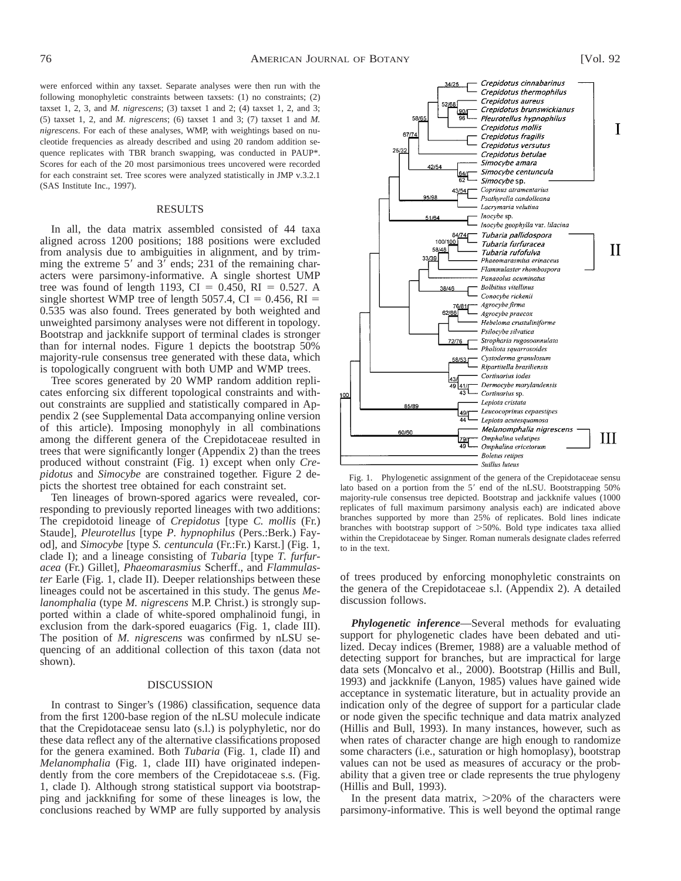were enforced within any taxset. Separate analyses were then run with the following monophyletic constraints between taxsets: (1) no constraints; (2) taxset 1, 2, 3, and *M. nigrescens*; (3) taxset 1 and 2; (4) taxset 1, 2, and 3; (5) taxset 1, 2, and *M. nigrescens*; (6) taxset 1 and 3; (7) taxset 1 and *M. nigrescens*. For each of these analyses, WMP, with weightings based on nucleotide frequencies as already described and using 20 random addition sequence replicates with TBR branch swapping, was conducted in PAUP\*. Scores for each of the 20 most parsimonious trees uncovered were recorded for each constraint set. Tree scores were analyzed statistically in JMP v.3.2.1 (SAS Institute Inc., 1997).

#### RESULTS

In all, the data matrix assembled consisted of 44 taxa aligned across 1200 positions; 188 positions were excluded from analysis due to ambiguities in alignment, and by trimming the extreme  $5'$  and  $3'$  ends; 231 of the remaining characters were parsimony-informative. A single shortest UMP tree was found of length 1193, CI = 0.450, RI = 0.527. A single shortest WMP tree of length 5057.4,  $CI = 0.456$ ,  $RI =$ 0.535 was also found. Trees generated by both weighted and unweighted parsimony analyses were not different in topology. Bootstrap and jackknife support of terminal clades is stronger than for internal nodes. Figure 1 depicts the bootstrap 50% majority-rule consensus tree generated with these data, which is topologically congruent with both UMP and WMP trees.

Tree scores generated by 20 WMP random addition replicates enforcing six different topological constraints and without constraints are supplied and statistically compared in Appendix 2 (see Supplemental Data accompanying online version of this article). Imposing monophyly in all combinations among the different genera of the Crepidotaceae resulted in trees that were significantly longer (Appendix 2) than the trees produced without constraint (Fig. 1) except when only *Crepidotus* and *Simocybe* are constrained together. Figure 2 depicts the shortest tree obtained for each constraint set.

Ten lineages of brown-spored agarics were revealed, corresponding to previously reported lineages with two additions: The crepidotoid lineage of *Crepidotus* [type *C. mollis* (Fr.) Staude], *Pleurotellus* [type *P. hypnophilus* (Pers.:Berk.) Fayod], and *Simocybe* [type *S. centuncula* (Fr.:Fr.) Karst.] (Fig. 1, clade I); and a lineage consisting of *Tubaria* [type *T. furfuracea* (Fr.) Gillet], *Phaeomarasmius* Scherff., and *Flammulaster* Earle (Fig. 1, clade II). Deeper relationships between these lineages could not be ascertained in this study. The genus *Melanomphalia* (type *M. nigrescens* M.P. Christ.) is strongly supported within a clade of white-spored omphalinoid fungi, in exclusion from the dark-spored euagarics (Fig. 1, clade III). The position of *M. nigrescens* was confirmed by nLSU sequencing of an additional collection of this taxon (data not shown).

#### DISCUSSION

In contrast to Singer's (1986) classification, sequence data from the first 1200-base region of the nLSU molecule indicate that the Crepidotaceae sensu lato (s.l.) is polyphyletic, nor do these data reflect any of the alternative classifications proposed for the genera examined. Both *Tubaria* (Fig. 1, clade II) and *Melanomphalia* (Fig. 1, clade III) have originated independently from the core members of the Crepidotaceae s.s. (Fig. 1, clade I). Although strong statistical support via bootstrapping and jackknifing for some of these lineages is low, the conclusions reached by WMP are fully supported by analysis



Fig. 1. Phylogenetic assignment of the genera of the Crepidotaceae sensu lato based on a portion from the  $5'$  end of the nLSU. Bootstrapping  $50\%$ majority-rule consensus tree depicted. Bootstrap and jackknife values (1000 replicates of full maximum parsimony analysis each) are indicated above branches supported by more than 25% of replicates. Bold lines indicate branches with bootstrap support of  $>50\%$ . Bold type indicates taxa allied within the Crepidotaceae by Singer. Roman numerals designate clades referred to in the text.

of trees produced by enforcing monophyletic constraints on the genera of the Crepidotaceae s.l. (Appendix 2). A detailed discussion follows.

*Phylogenetic inference*—Several methods for evaluating support for phylogenetic clades have been debated and utilized. Decay indices (Bremer, 1988) are a valuable method of detecting support for branches, but are impractical for large data sets (Moncalvo et al., 2000). Bootstrap (Hillis and Bull, 1993) and jackknife (Lanyon, 1985) values have gained wide acceptance in systematic literature, but in actuality provide an indication only of the degree of support for a particular clade or node given the specific technique and data matrix analyzed (Hillis and Bull, 1993). In many instances, however, such as when rates of character change are high enough to randomize some characters (i.e., saturation or high homoplasy), bootstrap values can not be used as measures of accuracy or the probability that a given tree or clade represents the true phylogeny (Hillis and Bull, 1993).

In the present data matrix,  $>20\%$  of the characters were parsimony-informative. This is well beyond the optimal range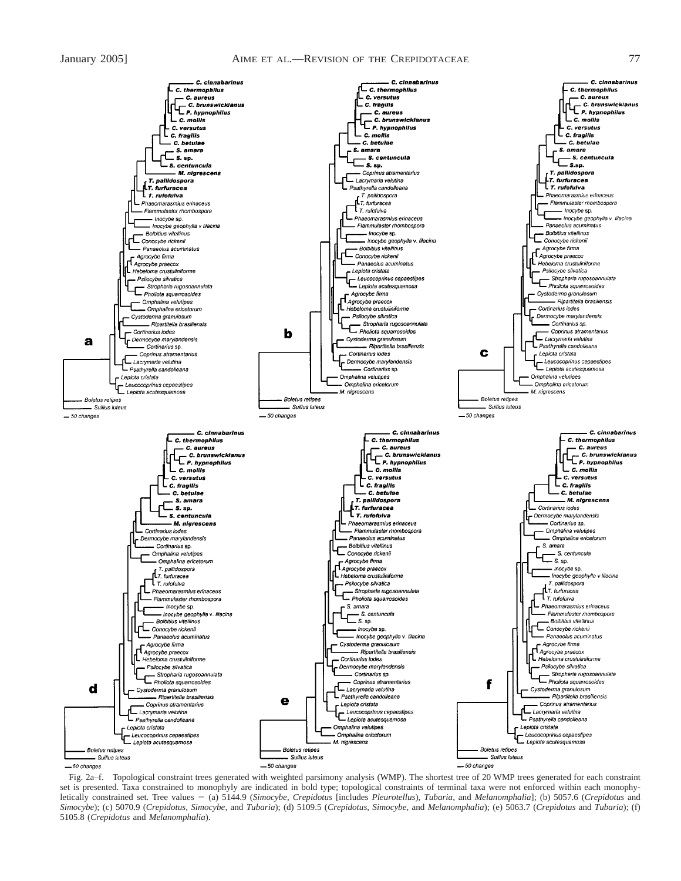### January 2005] AIME ET AL.—REVISION OF THE CREPIDOTACEAE 77



Fig. 2a–f. Topological constraint trees generated with weighted parsimony analysis (WMP). The shortest tree of 20 WMP trees generated for each constraint set is presented. Taxa constrained to monophyly are indicated in bold type; topological constraints of terminal taxa were not enforced within each monophyletically constrained set. Tree values 5 (a) 5144.9 (*Simocybe*, *Crepidotus* [includes *Pleurotellus*), *Tubaria*, and *Melanomphalia*]; (b) 5057.6 (*Crepidotus* and *Simocybe*); (c) 5070.9 (*Crepidotus*, *Simocybe*, and *Tubaria*); (d) 5109.5 (*Crepidotus*, *Simocybe*, and *Melanomphalia*); (e) 5063.7 (*Crepidotus* and *Tubaria*); (f) 5105.8 (*Crepidotus* and *Melanomphalia*).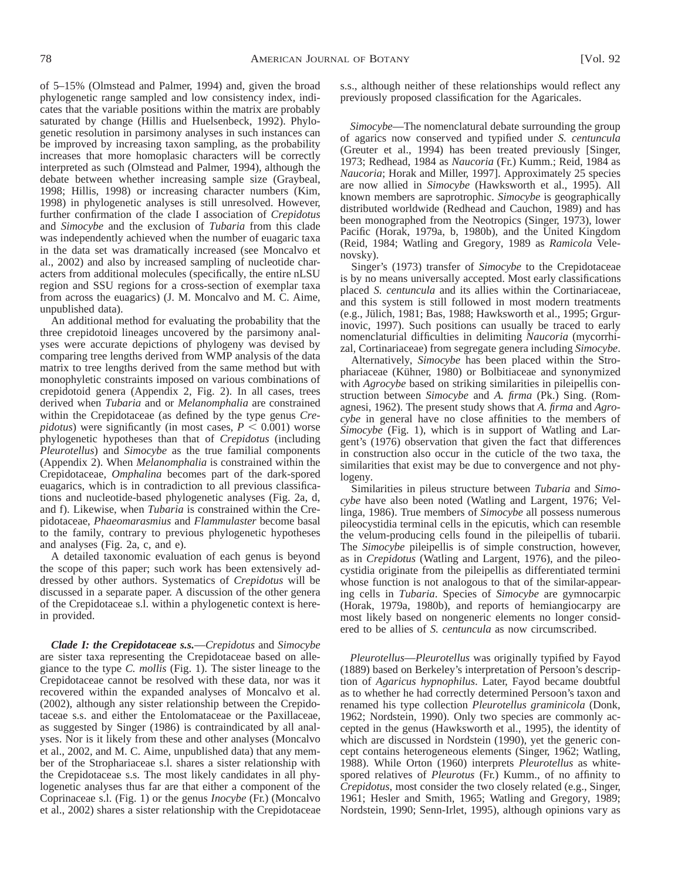of 5–15% (Olmstead and Palmer, 1994) and, given the broad phylogenetic range sampled and low consistency index, indicates that the variable positions within the matrix are probably saturated by change (Hillis and Huelsenbeck, 1992). Phylogenetic resolution in parsimony analyses in such instances can be improved by increasing taxon sampling, as the probability increases that more homoplasic characters will be correctly interpreted as such (Olmstead and Palmer, 1994), although the debate between whether increasing sample size (Graybeal, 1998; Hillis, 1998) or increasing character numbers (Kim, 1998) in phylogenetic analyses is still unresolved. However, further confirmation of the clade I association of *Crepidotus* and *Simocybe* and the exclusion of *Tubaria* from this clade was independently achieved when the number of euagaric taxa in the data set was dramatically increased (see Moncalvo et al., 2002) and also by increased sampling of nucleotide characters from additional molecules (specifically, the entire nLSU region and SSU regions for a cross-section of exemplar taxa from across the euagarics) (J. M. Moncalvo and M. C. Aime, unpublished data).

An additional method for evaluating the probability that the three crepidotoid lineages uncovered by the parsimony analyses were accurate depictions of phylogeny was devised by comparing tree lengths derived from WMP analysis of the data matrix to tree lengths derived from the same method but with monophyletic constraints imposed on various combinations of crepidotoid genera (Appendix 2, Fig. 2). In all cases, trees derived when *Tubaria* and or *Melanomphalia* are constrained within the Crepidotaceae (as defined by the type genus *Crepidotus*) were significantly (in most cases,  $P \le 0.001$ ) worse phylogenetic hypotheses than that of *Crepidotus* (including *Pleurotellus*) and *Simocybe* as the true familial components (Appendix 2). When *Melanomphalia* is constrained within the Crepidotaceae, *Omphalina* becomes part of the dark-spored euagarics, which is in contradiction to all previous classifications and nucleotide-based phylogenetic analyses (Fig. 2a, d, and f). Likewise, when *Tubaria* is constrained within the Crepidotaceae, *Phaeomarasmius* and *Flammulaster* become basal to the family, contrary to previous phylogenetic hypotheses and analyses (Fig. 2a, c, and e).

A detailed taxonomic evaluation of each genus is beyond the scope of this paper; such work has been extensively addressed by other authors. Systematics of *Crepidotus* will be discussed in a separate paper. A discussion of the other genera of the Crepidotaceae s.l. within a phylogenetic context is herein provided.

*Clade I: the Crepidotaceae s.s.*—*Crepidotus* and *Simocybe* are sister taxa representing the Crepidotaceae based on allegiance to the type *C. mollis* (Fig. 1). The sister lineage to the Crepidotaceae cannot be resolved with these data, nor was it recovered within the expanded analyses of Moncalvo et al. (2002), although any sister relationship between the Crepidotaceae s.s. and either the Entolomataceae or the Paxillaceae, as suggested by Singer (1986) is contraindicated by all analyses. Nor is it likely from these and other analyses (Moncalvo et al., 2002, and M. C. Aime, unpublished data) that any member of the Strophariaceae s.l. shares a sister relationship with the Crepidotaceae s.s. The most likely candidates in all phylogenetic analyses thus far are that either a component of the Coprinaceae s.l. (Fig. 1) or the genus *Inocybe* (Fr.) (Moncalvo et al., 2002) shares a sister relationship with the Crepidotaceae s.s., although neither of these relationships would reflect any previously proposed classification for the Agaricales.

*Simocybe*—The nomenclatural debate surrounding the group of agarics now conserved and typified under *S. centuncula* (Greuter et al., 1994) has been treated previously [Singer, 1973; Redhead, 1984 as *Naucoria* (Fr.) Kumm.; Reid, 1984 as *Naucoria*; Horak and Miller, 1997]. Approximately 25 species are now allied in *Simocybe* (Hawksworth et al., 1995). All known members are saprotrophic. *Simocybe* is geographically distributed worldwide (Redhead and Cauchon, 1989) and has been monographed from the Neotropics (Singer, 1973), lower Pacific (Horak, 1979a, b, 1980b), and the United Kingdom (Reid, 1984; Watling and Gregory, 1989 as *Ramicola* Velenovsky).

Singer's (1973) transfer of *Simocybe* to the Crepidotaceae is by no means universally accepted. Most early classifications placed *S. centuncula* and its allies within the Cortinariaceae, and this system is still followed in most modern treatments (e.g., Jülich, 1981; Bas, 1988; Hawksworth et al., 1995; Grgurinovic, 1997). Such positions can usually be traced to early nomenclaturial difficulties in delimiting *Naucoria* (mycorrhizal, Cortinariaceae) from segregate genera including *Simocybe*.

Alternatively, *Simocybe* has been placed within the Strophariaceae (Kühner, 1980) or Bolbitiaceae and synonymized with *Agrocybe* based on striking similarities in pileipellis construction between *Simocybe* and *A. firma* (Pk.) Sing. (Romagnesi, 1962). The present study shows that *A. firma* and *Agrocybe* in general have no close affinities to the members of *Simocybe* (Fig. 1), which is in support of Watling and Largent's (1976) observation that given the fact that differences in construction also occur in the cuticle of the two taxa, the similarities that exist may be due to convergence and not phylogeny.

Similarities in pileus structure between *Tubaria* and *Simocybe* have also been noted (Watling and Largent, 1976; Vellinga, 1986). True members of *Simocybe* all possess numerous pileocystidia terminal cells in the epicutis, which can resemble the velum-producing cells found in the pileipellis of tubarii. The *Simocybe* pileipellis is of simple construction, however, as in *Crepidotus* (Watling and Largent, 1976), and the pileocystidia originate from the pileipellis as differentiated termini whose function is not analogous to that of the similar-appearing cells in *Tubaria*. Species of *Simocybe* are gymnocarpic (Horak, 1979a, 1980b), and reports of hemiangiocarpy are most likely based on nongeneric elements no longer considered to be allies of *S. centuncula* as now circumscribed.

*Pleurotellus*—*Pleurotellus* was originally typified by Fayod (1889) based on Berkeley's interpretation of Persoon's description of *Agaricus hypnophilus*. Later, Fayod became doubtful as to whether he had correctly determined Persoon's taxon and renamed his type collection *Pleurotellus graminicola* (Donk, 1962; Nordstein, 1990). Only two species are commonly accepted in the genus (Hawksworth et al., 1995), the identity of which are discussed in Nordstein (1990), yet the generic concept contains heterogeneous elements (Singer, 1962; Watling, 1988). While Orton (1960) interprets *Pleurotellus* as whitespored relatives of *Pleurotus* (Fr.) Kumm., of no affinity to *Crepidotus*, most consider the two closely related (e.g., Singer, 1961; Hesler and Smith, 1965; Watling and Gregory, 1989; Nordstein, 1990; Senn-Irlet, 1995), although opinions vary as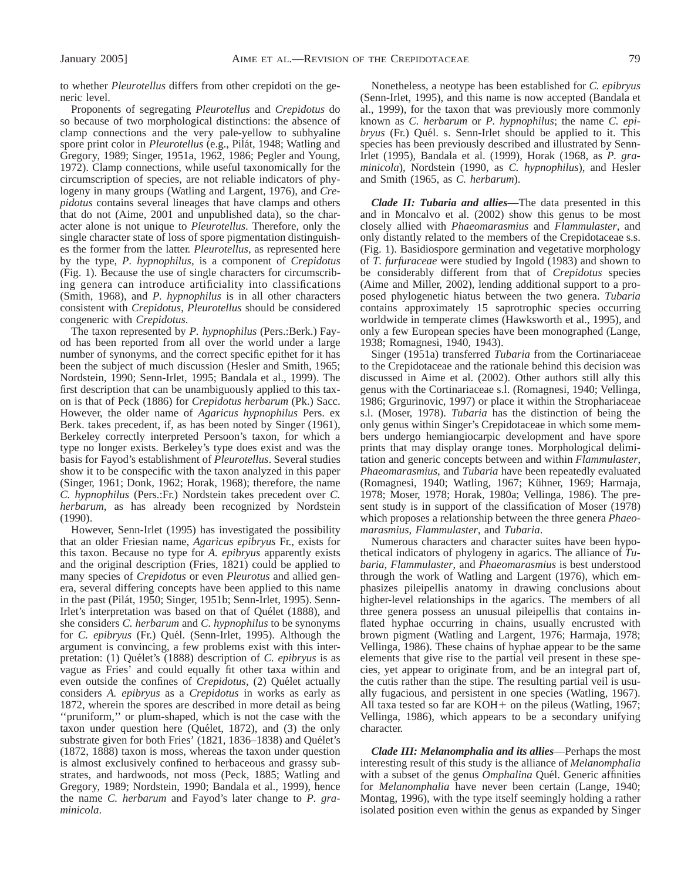to whether *Pleurotellus* differs from other crepidoti on the generic level.

Proponents of segregating *Pleurotellus* and *Crepidotus* do so because of two morphological distinctions: the absence of clamp connections and the very pale-yellow to subhyaline spore print color in *Pleurotellus* (e.g., Pilát, 1948; Watling and Gregory, 1989; Singer, 1951a, 1962, 1986; Pegler and Young, 1972). Clamp connections, while useful taxonomically for the circumscription of species, are not reliable indicators of phylogeny in many groups (Watling and Largent, 1976), and *Crepidotus* contains several lineages that have clamps and others that do not (Aime, 2001 and unpublished data), so the character alone is not unique to *Pleurotellus*. Therefore, only the single character state of loss of spore pigmentation distinguishes the former from the latter. *Pleurotellus*, as represented here by the type, *P. hypnophilus*, is a component of *Crepidotus* (Fig. 1). Because the use of single characters for circumscribing genera can introduce artificiality into classifications (Smith, 1968), and *P. hypnophilus* is in all other characters consistent with *Crepidotus*, *Pleurotellus* should be considered congeneric with *Crepidotus*.

The taxon represented by *P. hypnophilus* (Pers.:Berk.) Fayod has been reported from all over the world under a large number of synonyms, and the correct specific epithet for it has been the subject of much discussion (Hesler and Smith, 1965; Nordstein, 1990; Senn-Irlet, 1995; Bandala et al., 1999). The first description that can be unambiguously applied to this taxon is that of Peck (1886) for *Crepidotus herbarum* (Pk.) Sacc. However, the older name of *Agaricus hypnophilus* Pers. ex Berk. takes precedent, if, as has been noted by Singer (1961), Berkeley correctly interpreted Persoon's taxon, for which a type no longer exists. Berkeley's type does exist and was the basis for Fayod's establishment of *Pleurotellus*. Several studies show it to be conspecific with the taxon analyzed in this paper (Singer, 1961; Donk, 1962; Horak, 1968); therefore, the name *C. hypnophilus* (Pers.:Fr.) Nordstein takes precedent over *C. herbarum*, as has already been recognized by Nordstein (1990).

However, Senn-Irlet (1995) has investigated the possibility that an older Friesian name, *Agaricus epibryus* Fr., exists for this taxon. Because no type for *A. epibryus* apparently exists and the original description (Fries, 1821) could be applied to many species of *Crepidotus* or even *Pleurotus* and allied genera, several differing concepts have been applied to this name in the past (Pilát, 1950; Singer, 1951b; Senn-Irlet, 1995). Senn-Irlet's interpretation was based on that of Quélet (1888), and she considers *C. herbarum* and *C. hypnophilus* to be synonyms for *C. epibryus* (Fr.) Quél. (Senn-Irlet, 1995). Although the argument is convincing, a few problems exist with this interpretation: (1) Quélet's (1888) description of *C. epibryus* is as vague as Fries' and could equally fit other taxa within and even outside the confines of *Crepidotus*, (2) Quélet actually considers *A. epibryus* as a *Crepidotus* in works as early as 1872, wherein the spores are described in more detail as being ''pruniform,'' or plum-shaped, which is not the case with the taxon under question here (Quélet, 1872), and (3) the only substrate given for both Fries' (1821, 1836-1838) and Quélet's (1872, 1888) taxon is moss, whereas the taxon under question is almost exclusively confined to herbaceous and grassy substrates, and hardwoods, not moss (Peck, 1885; Watling and Gregory, 1989; Nordstein, 1990; Bandala et al., 1999), hence the name *C. herbarum* and Fayod's later change to *P. graminicola*.

Nonetheless, a neotype has been established for *C. epibryus* (Senn-Irlet, 1995), and this name is now accepted (Bandala et al., 1999), for the taxon that was previously more commonly known as *C. herbarum* or *P. hypnophilus*; the name *C. epibryus* (Fr.) Quél. s. Senn-Irlet should be applied to it. This species has been previously described and illustrated by Senn-Irlet (1995), Bandala et al. (1999), Horak (1968, as *P. graminicola*), Nordstein (1990, as *C. hypnophilus*), and Hesler and Smith (1965, as *C. herbarum*).

*Clade II: Tubaria and allies*—The data presented in this and in Moncalvo et al. (2002) show this genus to be most closely allied with *Phaeomarasmius* and *Flammulaster*, and only distantly related to the members of the Crepidotaceae s.s. (Fig. 1). Basidiospore germination and vegetative morphology of *T. furfuraceae* were studied by Ingold (1983) and shown to be considerably different from that of *Crepidotus* species (Aime and Miller, 2002), lending additional support to a proposed phylogenetic hiatus between the two genera. *Tubaria* contains approximately 15 saprotrophic species occurring worldwide in temperate climes (Hawksworth et al., 1995), and only a few European species have been monographed (Lange, 1938; Romagnesi, 1940, 1943).

Singer (1951a) transferred *Tubaria* from the Cortinariaceae to the Crepidotaceae and the rationale behind this decision was discussed in Aime et al. (2002). Other authors still ally this genus with the Cortinariaceae s.l. (Romagnesi, 1940; Vellinga, 1986; Grgurinovic, 1997) or place it within the Strophariaceae s.l. (Moser, 1978). *Tubaria* has the distinction of being the only genus within Singer's Crepidotaceae in which some members undergo hemiangiocarpic development and have spore prints that may display orange tones. Morphological delimitation and generic concepts between and within *Flammulaster*, *Phaeomarasmius*, and *Tubaria* have been repeatedly evaluated (Romagnesi, 1940; Watling, 1967; Kühner, 1969; Harmaja, 1978; Moser, 1978; Horak, 1980a; Vellinga, 1986). The present study is in support of the classification of Moser (1978) which proposes a relationship between the three genera *Phaeomarasmius*, *Flammulaster*, and *Tubaria*.

Numerous characters and character suites have been hypothetical indicators of phylogeny in agarics. The alliance of *Tubaria*, *Flammulaster*, and *Phaeomarasmius* is best understood through the work of Watling and Largent (1976), which emphasizes pileipellis anatomy in drawing conclusions about higher-level relationships in the agarics. The members of all three genera possess an unusual pileipellis that contains inflated hyphae occurring in chains, usually encrusted with brown pigment (Watling and Largent, 1976; Harmaja, 1978; Vellinga, 1986). These chains of hyphae appear to be the same elements that give rise to the partial veil present in these species, yet appear to originate from, and be an integral part of, the cutis rather than the stipe. The resulting partial veil is usually fugacious, and persistent in one species (Watling, 1967). All taxa tested so far are  $KOH+$  on the pileus (Watling, 1967; Vellinga, 1986), which appears to be a secondary unifying character.

*Clade III: Melanomphalia and its allies*—Perhaps the most interesting result of this study is the alliance of *Melanomphalia* with a subset of the genus *Omphalina* Quél. Generic affinities for *Melanomphalia* have never been certain (Lange, 1940; Montag, 1996), with the type itself seemingly holding a rather isolated position even within the genus as expanded by Singer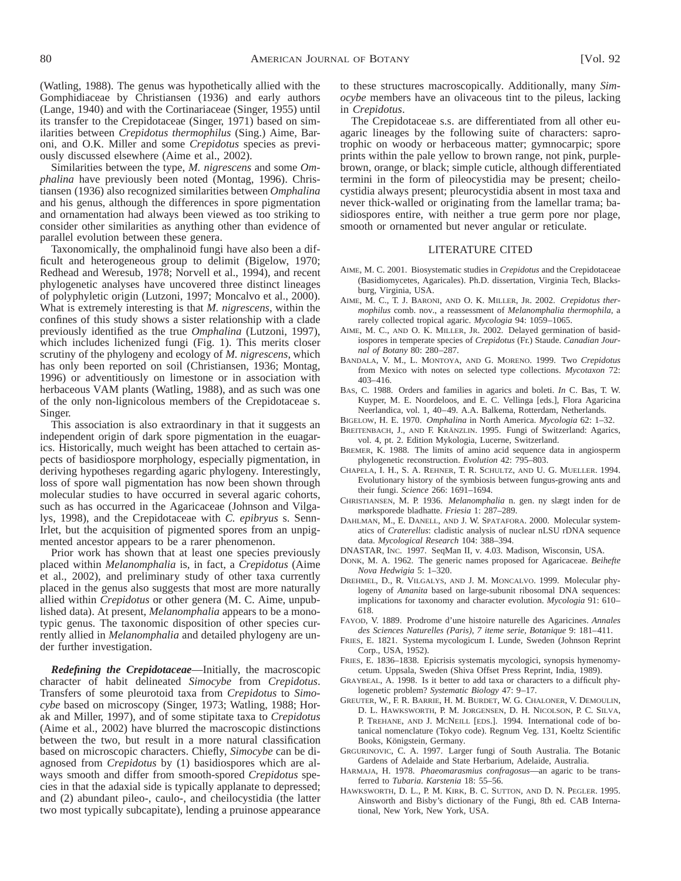(Watling, 1988). The genus was hypothetically allied with the Gomphidiaceae by Christiansen (1936) and early authors (Lange, 1940) and with the Cortinariaceae (Singer, 1955) until its transfer to the Crepidotaceae (Singer, 1971) based on similarities between *Crepidotus thermophilus* (Sing.) Aime, Baroni, and O.K. Miller and some *Crepidotus* species as previously discussed elsewhere (Aime et al., 2002).

Similarities between the type, *M. nigrescens* and some *Omphalina* have previously been noted (Montag, 1996). Christiansen (1936) also recognized similarities between *Omphalina* and his genus, although the differences in spore pigmentation and ornamentation had always been viewed as too striking to consider other similarities as anything other than evidence of parallel evolution between these genera.

Taxonomically, the omphalinoid fungi have also been a difficult and heterogeneous group to delimit (Bigelow, 1970; Redhead and Weresub, 1978; Norvell et al., 1994), and recent phylogenetic analyses have uncovered three distinct lineages of polyphyletic origin (Lutzoni, 1997; Moncalvo et al., 2000). What is extremely interesting is that *M. nigrescens*, within the confines of this study shows a sister relationship with a clade previously identified as the true *Omphalina* (Lutzoni, 1997), which includes lichenized fungi (Fig. 1). This merits closer scrutiny of the phylogeny and ecology of *M. nigrescens*, which has only been reported on soil (Christiansen, 1936; Montag, 1996) or adventitiously on limestone or in association with herbaceous VAM plants (Watling, 1988), and as such was one of the only non-lignicolous members of the Crepidotaceae s. Singer.

This association is also extraordinary in that it suggests an independent origin of dark spore pigmentation in the euagarics. Historically, much weight has been attached to certain aspects of basidiospore morphology, especially pigmentation, in deriving hypotheses regarding agaric phylogeny. Interestingly, loss of spore wall pigmentation has now been shown through molecular studies to have occurred in several agaric cohorts, such as has occurred in the Agaricaceae (Johnson and Vilgalys, 1998), and the Crepidotaceae with *C. epibryus* s. Senn-Irlet, but the acquisition of pigmented spores from an unpigmented ancestor appears to be a rarer phenomenon.

Prior work has shown that at least one species previously placed within *Melanomphalia* is, in fact, a *Crepidotus* (Aime et al., 2002), and preliminary study of other taxa currently placed in the genus also suggests that most are more naturally allied within *Crepidotus* or other genera (M. C. Aime, unpublished data). At present, *Melanomphalia* appears to be a monotypic genus. The taxonomic disposition of other species currently allied in *Melanomphalia* and detailed phylogeny are under further investigation.

*Redefining the Crepidotaceae*—Initially, the macroscopic character of habit delineated *Simocybe* from *Crepidotus*. Transfers of some pleurotoid taxa from *Crepidotus* to *Simocybe* based on microscopy (Singer, 1973; Watling, 1988; Horak and Miller, 1997), and of some stipitate taxa to *Crepidotus* (Aime et al., 2002) have blurred the macroscopic distinctions between the two, but result in a more natural classification based on microscopic characters. Chiefly, *Simocybe* can be diagnosed from *Crepidotus* by (1) basidiospores which are always smooth and differ from smooth-spored *Crepidotus* species in that the adaxial side is typically applanate to depressed; and (2) abundant pileo-, caulo-, and cheilocystidia (the latter two most typically subcapitate), lending a pruinose appearance to these structures macroscopically. Additionally, many *Simocybe* members have an olivaceous tint to the pileus, lacking in *Crepidotus*.

The Crepidotaceae s.s. are differentiated from all other euagaric lineages by the following suite of characters: saprotrophic on woody or herbaceous matter; gymnocarpic; spore prints within the pale yellow to brown range, not pink, purplebrown, orange, or black; simple cuticle, although differentiated termini in the form of pileocystidia may be present; cheilocystidia always present; pleurocystidia absent in most taxa and never thick-walled or originating from the lamellar trama; basidiospores entire, with neither a true germ pore nor plage, smooth or ornamented but never angular or reticulate.

#### LITERATURE CITED

- AIME, M. C. 2001. Biosystematic studies in *Crepidotus* and the Crepidotaceae (Basidiomycetes, Agaricales). Ph.D. dissertation, Virginia Tech, Blacksburg, Virginia, USA.
- AIME, M. C., T. J. BARONI, AND O. K. MILLER, JR. 2002. *Crepidotus thermophilus* comb. nov., a reassessment of *Melanomphalia thermophila*, a rarely collected tropical agaric. *Mycologia* 94: 1059–1065.
- AIME, M. C., AND O. K. MILLER, JR. 2002. Delayed germination of basidiospores in temperate species of *Crepidotus* (Fr.) Staude. *Canadian Journal of Botany* 80: 280–287.
- BANDALA, V. M., L. MONTOYA, AND G. MORENO. 1999. Two *Crepidotus* from Mexico with notes on selected type collections. *Mycotaxon* 72: 403–416.
- BAS, C. 1988. Orders and families in agarics and boleti. *In* C. Bas, T. W. Kuyper, M. E. Noordeloos, and E. C. Vellinga [eds.], Flora Agaricina Neerlandica, vol. 1, 40–49. A.A. Balkema, Rotterdam, Netherlands.
- BIGELOW, H. E. 1970. *Omphalina* in North America. *Mycologia* 62: 1–32.

BREITENBACH, J., AND F. KRÄNZLIN. 1995. Fungi of Switzerland: Agarics, vol. 4, pt. 2. Edition Mykologia, Lucerne, Switzerland.

- BREMER, K. 1988. The limits of amino acid sequence data in angiosperm phylogenetic reconstruction. *Evolution* 42: 795–803.
- CHAPELA, I. H., S. A. REHNER, T. R. SCHULTZ, AND U. G. MUELLER. 1994. Evolutionary history of the symbiosis between fungus-growing ants and their fungi. *Science* 266: 1691–1694.
- CHRISTIANSEN, M. P. 1936. *Melanomphalia* n. gen. ny slægt inden for de mørksporede bladhatte. *Friesia* 1: 287–289.
- DAHLMAN, M., E. DANELL, AND J. W. SPATAFORA. 2000. Molecular systematics of *Craterellus*: cladistic analysis of nuclear nLSU rDNA sequence data. *Mycological Research* 104: 388–394.
- DNASTAR, INC. 1997. SeqMan II, v. 4.03. Madison, Wisconsin, USA.
- DONK, M. A. 1962. The generic names proposed for Agaricaceae. *Beihefte Nova Hedwigia* 5: 1–320.
- DREHMEL, D., R. VILGALYS, AND J. M. MONCALVO. 1999. Molecular phylogeny of *Amanita* based on large-subunit ribosomal DNA sequences: implications for taxonomy and character evolution. *Mycologia* 91: 610– 618.
- FAYOD, V. 1889. Prodrome d'une histoire naturelle des Agaricines. *Annales des Sciences Naturelles (Paris), 7 iteme serie, Botanique* 9: 181–411.
- FRIES, E. 1821. Systema mycologicum I. Lunde, Sweden (Johnson Reprint Corp., USA, 1952).
- FRIES, E. 1836–1838. Epicrisis systematis mycologici, synopsis hymenomycetum. Uppsala, Sweden (Shiva Offset Press Reprint, India, 1989).
- GRAYBEAL, A. 1998. Is it better to add taxa or characters to a difficult phylogenetic problem? *Systematic Biology* 47: 9–17.
- GREUTER, W., F. R. BARRIE, H. M. BURDET, W. G. CHALONER, V. DEMOULIN, D. L. HAWKSWORTH, P. M. JORGENSEN, D. H. NICOLSON, P. C. SILVA, P. TREHANE, AND J. MCNEILL [EDS.]. 1994. International code of botanical nomenclature (Tokyo code). Regnum Veg. 131, Koeltz Scientific Books, Königstein, Germany.
- GRGURINOVIC, C. A. 1997. Larger fungi of South Australia. The Botanic Gardens of Adelaide and State Herbarium, Adelaide, Australia.
- HARMAJA, H. 1978. *Phaeomarasmius confragosus*—an agaric to be transferred to *Tubaria*. *Karstenia* 18: 55–56.
- HAWKSWORTH, D. L., P. M. KIRK, B. C. SUTTON, AND D. N. PEGLER. 1995. Ainsworth and Bisby's dictionary of the Fungi, 8th ed. CAB International, New York, New York, USA.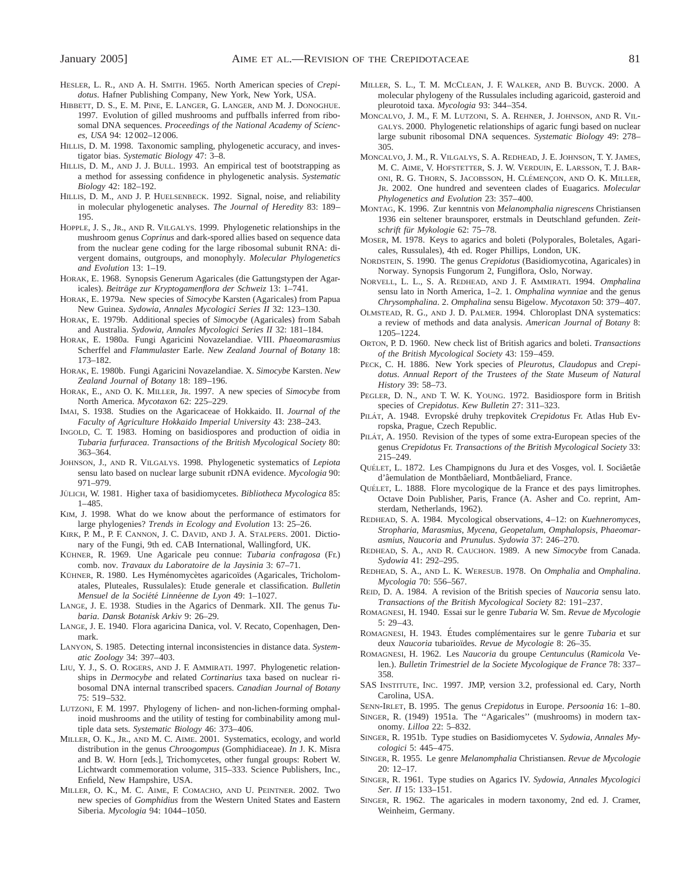- HESLER, L. R., AND A. H. SMITH. 1965. North American species of *Crepidotus*. Hafner Publishing Company, New York, New York, USA.
- HIBBETT, D. S., E. M. PINE, E. LANGER, G. LANGER, AND M. J. DONOGHUE. 1997. Evolution of gilled mushrooms and puffballs inferred from ribosomal DNA sequences. *Proceedings of the National Academy of Sciences, USA* 94: 12 002–12 006.
- HILLIS, D. M. 1998. Taxonomic sampling, phylogenetic accuracy, and investigator bias. *Systematic Biology* 47: 3–8.
- HILLIS, D. M., AND J. J. BULL. 1993. An empirical test of bootstrapping as a method for assessing confidence in phylogenetic analysis. *Systematic Biology* 42: 182–192.
- HILLIS, D. M., AND J. P. HUELSENBECK. 1992. Signal, noise, and reliability in molecular phylogenetic analyses. *The Journal of Heredity* 83: 189– 195.
- HOPPLE, J. S., JR., AND R. VILGALYS. 1999. Phylogenetic relationships in the mushroom genus *Coprinus* and dark-spored allies based on sequence data from the nuclear gene coding for the large ribosomal subunit RNA: divergent domains, outgroups, and monophyly. *Molecular Phylogenetics and Evolution* 13: 1–19.
- HORAK, E. 1968. Synopsis Generum Agaricales (die Gattungstypen der Agaricales). *Beitra¨ge zur Kryptogamenflora der Schweiz* 13: 1–741.
- HORAK, E. 1979a. New species of *Simocybe* Karsten (Agaricales) from Papua New Guinea. *Sydowia, Annales Mycologici Series II* 32: 123–130.
- HORAK, E. 1979b. Additional species of *Simocybe* (Agaricales) from Sabah and Australia. *Sydowia, Annales Mycologici Series II* 32: 181–184.
- HORAK, E. 1980a. Fungi Agaricini Novazelandiae. VIII. *Phaeomarasmius* Scherffel and *Flammulaster* Earle. *New Zealand Journal of Botany* 18: 173–182.
- HORAK, E. 1980b. Fungi Agaricini Novazelandiae. X. *Simocybe* Karsten. *New Zealand Journal of Botany* 18: 189–196.
- HORAK, E., AND O. K. MILLER, JR. 1997. A new species of *Simocybe* from North America. *Mycotaxon* 62: 225–229.
- IMAI, S. 1938. Studies on the Agaricaceae of Hokkaido. II. *Journal of the Faculty of Agriculture Hokkaido Imperial University* 43: 238–243.
- INGOLD, C. T. 1983. Homing on basidiospores and production of oidia in *Tubaria furfuracea*. *Transactions of the British Mycological Society* 80: 363–364.
- JOHNSON, J., AND R. VILGALYS. 1998. Phylogenetic systematics of *Lepiota* sensu lato based on nuclear large subunit rDNA evidence. *Mycologia* 90: 971–979.
- JÜLICH, W. 1981. Higher taxa of basidiomycetes. *Bibliotheca Mycologica* 85: 1–485.
- KIM, J. 1998. What do we know about the performance of estimators for large phylogenies? *Trends in Ecology and Evolution* 13: 25–26.
- KIRK, P. M., P. F. CANNON, J. C. DAVID, AND J. A. STALPERS. 2001. Dictionary of the Fungi, 9th ed. CAB International, Wallingford, UK.
- KÜHNER, R. 1969. Une Agaricale peu connue: *Tubaria confragosa* (Fr.) comb. nov. *Travaux du Laboratoire de la Jaysinia* 3: 67–71.
- KÜHNER, R. 1980. Les Hyménomycètes agaricoïdes (Agaricales, Tricholomatales, Pluteales, Russulales): Etude generale et classification. *Bulletin Mensuel de la Société Linnéenne de Lyon* 49: 1-1027.
- LANGE, J. E. 1938. Studies in the Agarics of Denmark. XII. The genus *Tubaria*. *Dansk Botanisk Arkiv* 9: 26–29.
- LANGE, J. E. 1940. Flora agaricina Danica, vol. V. Recato, Copenhagen, Denmark.
- LANYON, S. 1985. Detecting internal inconsistencies in distance data. *Systematic Zoology* 34: 397–403.
- LIU, Y. J., S. O. ROGERS, AND J. F. AMMIRATI. 1997. Phylogenetic relationships in *Dermocybe* and related *Cortinarius* taxa based on nuclear ribosomal DNA internal transcribed spacers. *Canadian Journal of Botany* 75: 519–532.
- LUTZONI, F. M. 1997. Phylogeny of lichen- and non-lichen-forming omphalinoid mushrooms and the utility of testing for combinability among multiple data sets. *Systematic Biology* 46: 373–406.
- MILLER, O. K., JR., AND M. C. AIME. 2001. Systematics, ecology, and world distribution in the genus *Chroogompus* (Gomphidiaceae). *In* J. K. Misra and B. W. Horn [eds.], Trichomycetes, other fungal groups: Robert W. Lichtwardt commemoration volume, 315–333. Science Publishers, Inc., Enfield, New Hampshire, USA.
- MILLER, O. K., M. C. AIME, F. COMACHO, AND U. PEINTNER. 2002. Two new species of *Gomphidius* from the Western United States and Eastern Siberia. *Mycologia* 94: 1044–1050.
- MILLER, S. L., T. M. MCCLEAN, J. F. WALKER, AND B. BUYCK. 2000. A molecular phylogeny of the Russulales including agaricoid, gasteroid and pleurotoid taxa. *Mycologia* 93: 344–354.
- MONCALVO, J. M., F. M. LUTZONI, S. A. REHNER, J. JOHNSON, AND R. VIL-GALYS. 2000. Phylogenetic relationships of agaric fungi based on nuclear large subunit ribosomal DNA sequences. *Systematic Biology* 49: 278– 305.
- MONCALVO, J. M., R. VILGALYS, S. A. REDHEAD, J. E. JOHNSON, T. Y. JAMES, M. C. AIME, V. HOFSTETTER, S. J. W. VERDUIN, E. LARSSON, T. J. BAR-ONI, R. G. THORN, S. JACOBSSON, H. CLÉMENÇON, AND O. K. MILLER, JR. 2002. One hundred and seventeen clades of Euagarics. *Molecular Phylogenetics and Evolution* 23: 357–400.
- MONTAG, K. 1996. Zur kenntnis von *Melanomphalia nigrescens* Christiansen 1936 ein seltener braunsporer, erstmals in Deutschland gefunden. *Zeitschrift fu¨r Mykologie* 62: 75–78.
- MOSER, M. 1978. Keys to agarics and boleti (Polyporales, Boletales, Agaricales, Russulales), 4th ed. Roger Phillips, London, UK.
- NORDSTEIN, S. 1990. The genus *Crepidotus* (Basidiomycotina, Agaricales) in Norway. Synopsis Fungorum 2, Fungiflora, Oslo, Norway.
- NORVELL, L. L., S. A. REDHEAD, AND J. F. AMMIRATI. 1994. *Omphalina* sensu lato in North America, 1–2. 1. *Omphalina wynniae* and the genus *Chrysomphalina*. 2. *Omphalina* sensu Bigelow. *Mycotaxon* 50: 379–407.
- OLMSTEAD, R. G., AND J. D. PALMER. 1994. Chloroplast DNA systematics: a review of methods and data analysis. *American Journal of Botany* 8: 1205–1224.
- ORTON, P. D. 1960. New check list of British agarics and boleti. *Transactions of the British Mycological Society* 43: 159–459.
- PECK, C. H. 1886. New York species of *Pleurotus*, *Claudopus* and *Crepidotus*. *Annual Report of the Trustees of the State Museum of Natural History* 39: 58–73.
- PEGLER, D. N., AND T. W. K. YOUNG. 1972. Basidiospore form in British species of *Crepidotus*. *Kew Bulletin* 27: 311–323.
- PILÁT, A. 1948. Evropské druhy trepkovitek Crepidotus Fr. Atlas Hub Evropska, Prague, Czech Republic.
- PILAT, A. 1950. Revision of the types of some extra-European species of the genus *Crepidotus* Fr. *Transactions of the British Mycological Society* 33: 215–249.
- QUÉLET, L. 1872. Les Champignons du Jura et des Vosges, vol. I. Sociâetâe d'âemulation de Montbâeliard, Montbâeliard, France.
- QUÉLET, L. 1888. Flore mycologique de la France et des pays limitrophes. Octave Doin Publisher, Paris, France (A. Asher and Co. reprint, Amsterdam, Netherlands, 1962).
- REDHEAD, S. A. 1984. Mycological observations, 4–12: on *Kuehneromyces*, *Stropharia*, *Marasmius*, *Mycena*, *Geopetalum*, *Omphalopsis*, *Phaeomarasmius*, *Naucoria* and *Prunulus*. *Sydowia* 37: 246–270.
- REDHEAD, S. A., AND R. CAUCHON. 1989. A new *Simocybe* from Canada. *Sydowia* 41: 292–295.
- REDHEAD, S. A., AND L. K. WERESUB. 1978. On *Omphalia* and *Omphalina*. *Mycologia* 70: 556–567.
- REID, D. A. 1984. A revision of the British species of *Naucoria* sensu lato. *Transactions of the British Mycological Society* 82: 191–237.
- ROMAGNESI, H. 1940. Essai sur le genre *Tubaria* W. Sm. *Revue de Mycologie* 5: 29–43.
- ROMAGNESI, H. 1943. Études complémentaires sur le genre *Tubaria* et sur deux *Naucoria* tubarioïdes. Revue de Mycologie 8: 26-35.
- ROMAGNESI, H. 1962. Les *Naucoria* du groupe *Centunculus* (*Ramicola* Velen.). *Bulletin Trimestriel de la Societe Mycologique de France* 78: 337– 358.
- SAS INSTITUTE, INC. 1997. JMP, version 3.2, professional ed. Cary, North Carolina, USA.
- SENN-IRLET, B. 1995. The genus *Crepidotus* in Europe. *Persoonia* 16: 1–80.
- SINGER, R. (1949) 1951a. The ''Agaricales'' (mushrooms) in modern taxonomy. *Lilloa* 22: 5–832.
- SINGER, R. 1951b. Type studies on Basidiomycetes V. *Sydowia, Annales Mycologici* 5: 445–475.
- SINGER, R. 1955. Le genre *Melanomphalia* Christiansen. *Revue de Mycologie* 20: 12–17.
- SINGER, R. 1961. Type studies on Agarics IV. *Sydowia, Annales Mycologici Ser. II* 15: 133–151.
- SINGER, R. 1962. The agaricales in modern taxonomy, 2nd ed. J. Cramer, Weinheim, Germany.